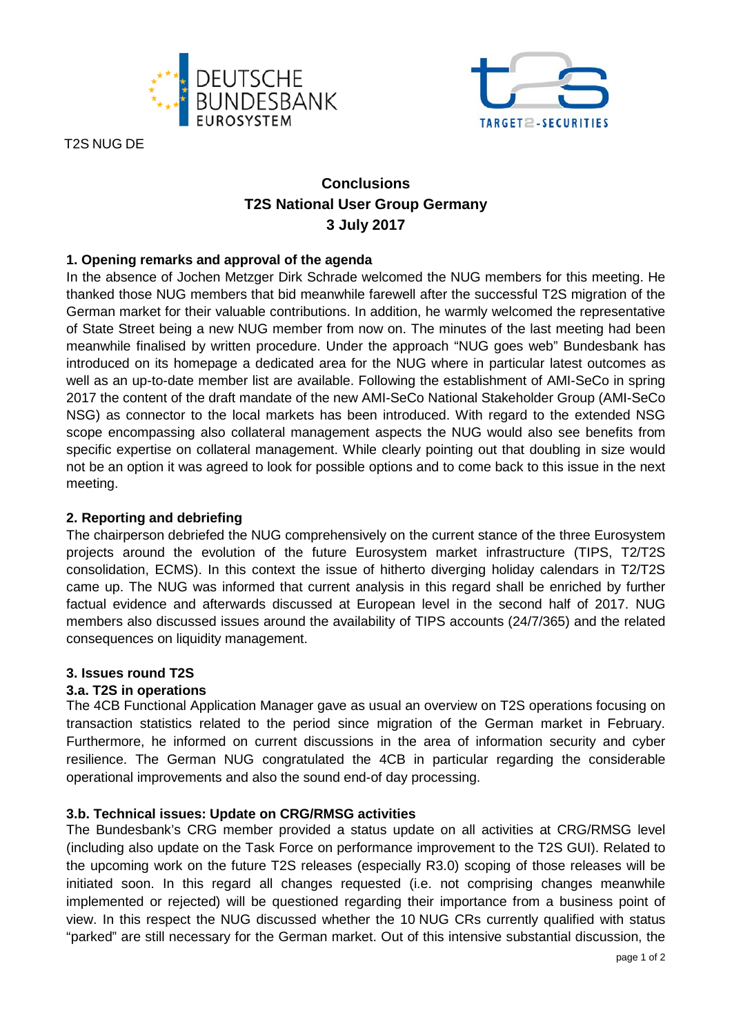



T2S NUG DE

# **Conclusions T2S National User Group Germany 3 July 2017**

## **1. Opening remarks and approval of the agenda**

In the absence of Jochen Metzger Dirk Schrade welcomed the NUG members for this meeting. He thanked those NUG members that bid meanwhile farewell after the successful T2S migration of the German market for their valuable contributions. In addition, he warmly welcomed the representative of State Street being a new NUG member from now on. The minutes of the last meeting had been meanwhile finalised by written procedure. Under the approach "NUG goes web" Bundesbank has introduced on its homepage a dedicated area for the NUG where in particular latest outcomes as well as an up-to-date member list are available. Following the establishment of AMI-SeCo in spring 2017 the content of the draft mandate of the new AMI-SeCo National Stakeholder Group (AMI-SeCo NSG) as connector to the local markets has been introduced. With regard to the extended NSG scope encompassing also collateral management aspects the NUG would also see benefits from specific expertise on collateral management. While clearly pointing out that doubling in size would not be an option it was agreed to look for possible options and to come back to this issue in the next meeting.

### **2. Reporting and debriefing**

The chairperson debriefed the NUG comprehensively on the current stance of the three Eurosystem projects around the evolution of the future Eurosystem market infrastructure (TIPS, T2/T2S consolidation, ECMS). In this context the issue of hitherto diverging holiday calendars in T2/T2S came up. The NUG was informed that current analysis in this regard shall be enriched by further factual evidence and afterwards discussed at European level in the second half of 2017. NUG members also discussed issues around the availability of TIPS accounts (24/7/365) and the related consequences on liquidity management.

### **3. Issues round T2S**

### **3.a. T2S in operations**

The 4CB Functional Application Manager gave as usual an overview on T2S operations focusing on transaction statistics related to the period since migration of the German market in February. Furthermore, he informed on current discussions in the area of information security and cyber resilience. The German NUG congratulated the 4CB in particular regarding the considerable operational improvements and also the sound end-of day processing.

### **3.b. Technical issues: Update on CRG/RMSG activities**

The Bundesbank's CRG member provided a status update on all activities at CRG/RMSG level (including also update on the Task Force on performance improvement to the T2S GUI). Related to the upcoming work on the future T2S releases (especially R3.0) scoping of those releases will be initiated soon. In this regard all changes requested (i.e. not comprising changes meanwhile implemented or rejected) will be questioned regarding their importance from a business point of view. In this respect the NUG discussed whether the 10 NUG CRs currently qualified with status "parked" are still necessary for the German market. Out of this intensive substantial discussion, the